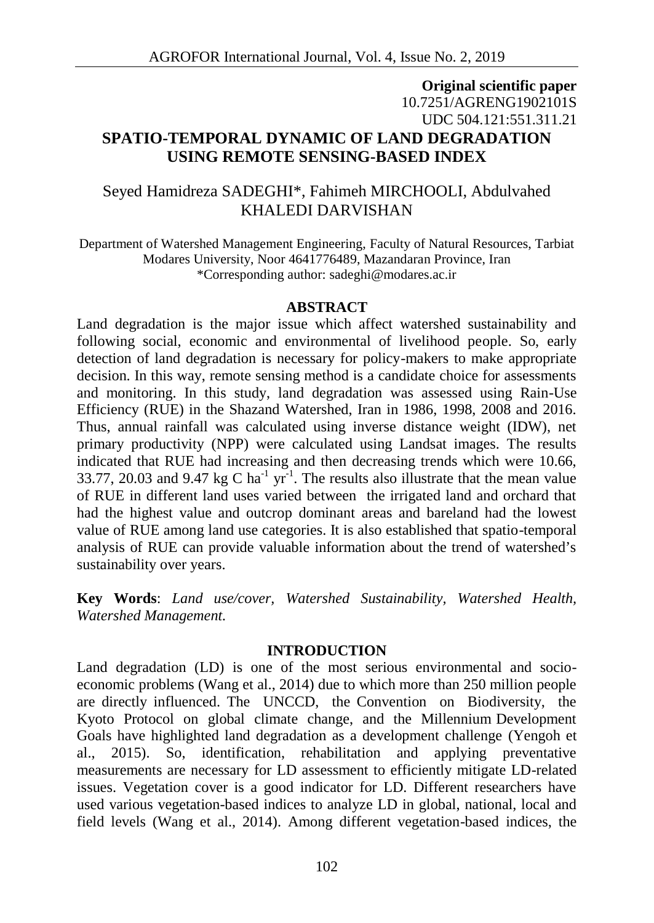## **Original scientific paper** 10.7251/AGRENG1902101S UDC 504.121:551.311.21 **SPATIO-TEMPORAL DYNAMIC OF LAND DEGRADATION USING REMOTE SENSING-BASED INDEX**

## Seyed Hamidreza SADEGHI\*, Fahimeh MIRCHOOLI, Abdulvahed KHALEDI DARVISHAN

Department of Watershed Management Engineering, Faculty of Natural Resources, Tarbiat Modares University, Noor 4641776489, Mazandaran Province, Iran \*Corresponding author: sadeghi@modares.ac.ir

#### **ABSTRACT**

Land degradation is the major issue which affect watershed sustainability and following social, economic and environmental of livelihood people. So, early detection of land degradation is necessary for policy-makers to make appropriate decision. In this way, remote sensing method is a candidate choice for assessments and monitoring. In this study, land degradation was assessed using Rain-Use Efficiency (RUE) in the Shazand Watershed, Iran in 1986, 1998, 2008 and 2016. Thus, annual rainfall was calculated using inverse distance weight (IDW), net primary productivity (NPP) were calculated using Landsat images. The results indicated that RUE had increasing and then decreasing trends which were 10.66, 33.77, 20.03 and 9.47 kg C ha<sup>-1</sup> yr<sup>-1</sup>. The results also illustrate that the mean value of RUE in different land uses varied between the irrigated land and orchard that had the highest value and outcrop dominant areas and bareland had the lowest value of RUE among land use categories. It is also established that spatio-temporal analysis of RUE can provide valuable information about the trend of watershed's sustainability over years.

**Key Words**: *Land use/cover, Watershed Sustainability, Watershed Health, Watershed Management.*

#### **INTRODUCTION**

Land degradation (LD) is one of the most serious environmental and socio economic problems (Wang et al., 2014) due to which more than 250 million people are directly influenced. The UNCCD, the Convention on Biodiversity, the Kyoto Protocol on global climate change, and the Millennium Development Goals have highlighted land degradation as a development challenge (Yengoh et al., 2015). So, identification, rehabilitation and applying preventative measurements are necessary for LD assessment to efficiently mitigate LD-related issues. Vegetation cover is a good indicator for LD. Different researchers have used various vegetation-based indices to analyze LD in global, national, local and field levels (Wang et al., 2014). Among different vegetation-based indices, the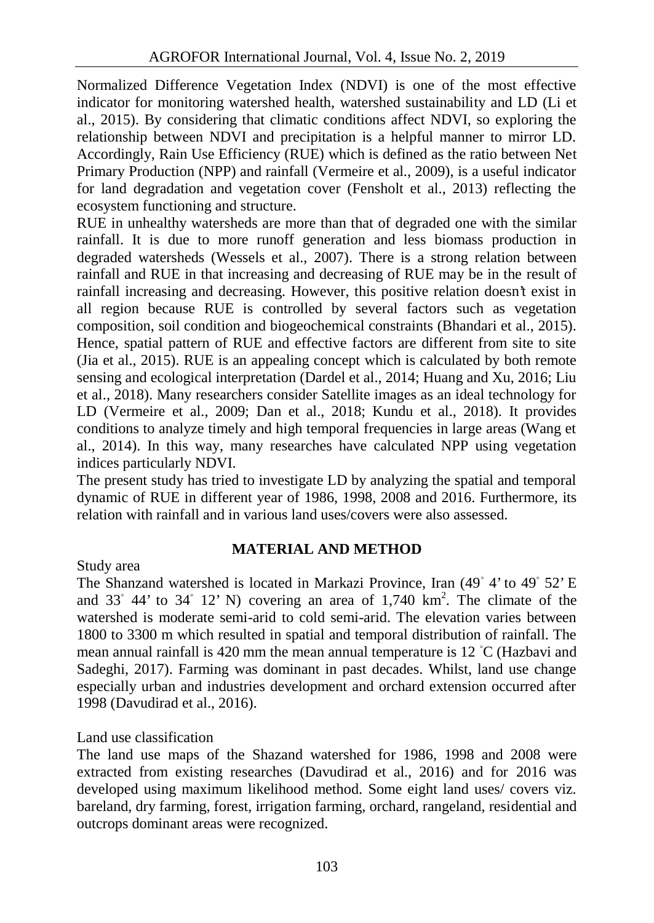Normalized Difference Vegetation Index (NDVI) is one of the most effective indicator for monitoring watershed health, watershed sustainability and LD (Li et al., 2015). By considering that climatic conditions affect NDVI, so exploring the relationship between NDVI and precipitation is a helpful manner to mirror LD. Accordingly, Rain Use Efficiency (RUE) which is defined as the ratio between Net Primary Production (NPP) and rainfall (Vermeire et al., 2009), is a useful indicator for land degradation and vegetation cover (Fensholt et al., 2013) reflecting the ecosystem functioning and structure.

RUE in unhealthy watersheds are more than that of degraded one with the similar rainfall. It is due to more runoff generation and less biomass production in degraded watersheds (Wessels et al., 2007). There is a strong relation between rainfall and RUE in that increasing and decreasing of RUE may be in the result of rainfall increasing and decreasing. However, this positive relation doesn't exist in all region because RUE is controlled by several factors such as vegetation composition, soil condition and biogeochemical constraints (Bhandari et al., 2015). Hence, spatial pattern of RUE and effective factors are different from site to site (Jia et al., 2015). RUE is an appealing concept which is calculated by both remote sensing and ecological interpretation (Dardel et al., 2014; Huang and Xu, 2016; Liu et al., 2018). Many researchers consider Satellite images as an ideal technology for LD (Vermeire et al., 2009; Dan et al., 2018; Kundu et al., 2018). It provides conditions to analyze timely and high temporal frequencies in large areas (Wang et al., 2014). In this way, many researches have calculated NPP using vegetation indices particularly NDVI.

The present study has tried to investigate LD by analyzing the spatial and temporal dynamic of RUE in different year of 1986, 1998, 2008 and 2016. Furthermore, its relation with rainfall and in various land uses/covers were also assessed.

### **MATERIAL AND METHOD**

#### Study area

The Shanzand watershed is located in Markazi Province, Iran (49 4' to 49 52' E and 33 44' to 34 12' N) covering an area of 1,740  $\text{km}^2$ . The climate of the watershed is moderate semi-arid to cold semi-arid. The elevation varies between 1800 to 3300 m which resulted in spatial and temporal distribution of rainfall. The mean annual rainfall is 420 mm the mean annual temperature is 12 C (Hazbavi and Sadeghi, 2017). Farming was dominant in past decades. Whilst, land use change especially urban and industries development and orchard extension occurred after 1998 (Davudirad et al., 2016).

#### Land use classification

The land use maps of the Shazand watershed for 1986, 1998 and 2008 were extracted from existing researches (Davudirad et al., 2016) and for 2016 was developed using maximum likelihood method. Some eight land uses/ covers viz. bareland, dry farming, forest, irrigation farming, orchard, rangeland, residential and outcrops dominant areas were recognized.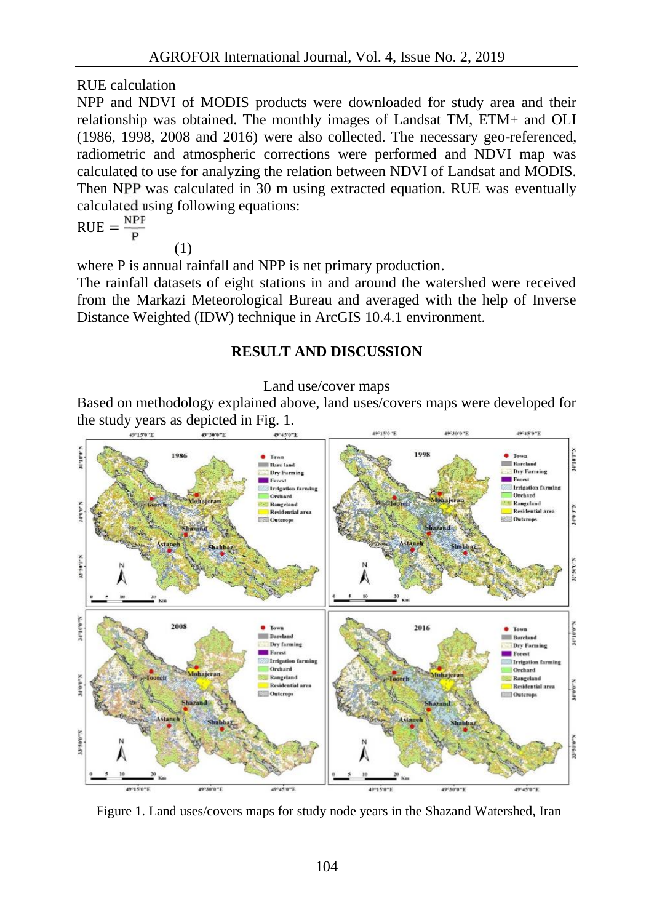RUE calculation

NPP and NDVI of MODIS products were downloaded for study area and their relationship was obtained. The monthly images of Landsat TM, ETM+ and OLI (1986, 1998, 2008 and 2016) were also collected. The necessary geo-referenced, radiometric and atmospheric corrections were performed and NDVI map was calculated to use for analyzing the relation between NDVI of Landsat and MODIS. Then NPP was calculated in 30 m using extracted equation. RUE was eventually calculated using following equations:

$$
RUE = \frac{NPP}{P}
$$

$$
(1) \quad
$$

where P is annual rainfall and NPP is net primary production.

The rainfall datasets of eight stations in and around the watershed were received from the Markazi Meteorological Bureau and averaged with the help of Inverse Distance Weighted (IDW) technique in ArcGIS 10.4.1 environment.

# **RESULT AND DISCUSSION**

#### Land use/cover maps

Based on methodology explained above, land uses/covers maps were developed for the study years as depicted in Fig. 1.



Figure 1. Land uses/covers maps for study node years in the Shazand Watershed, Iran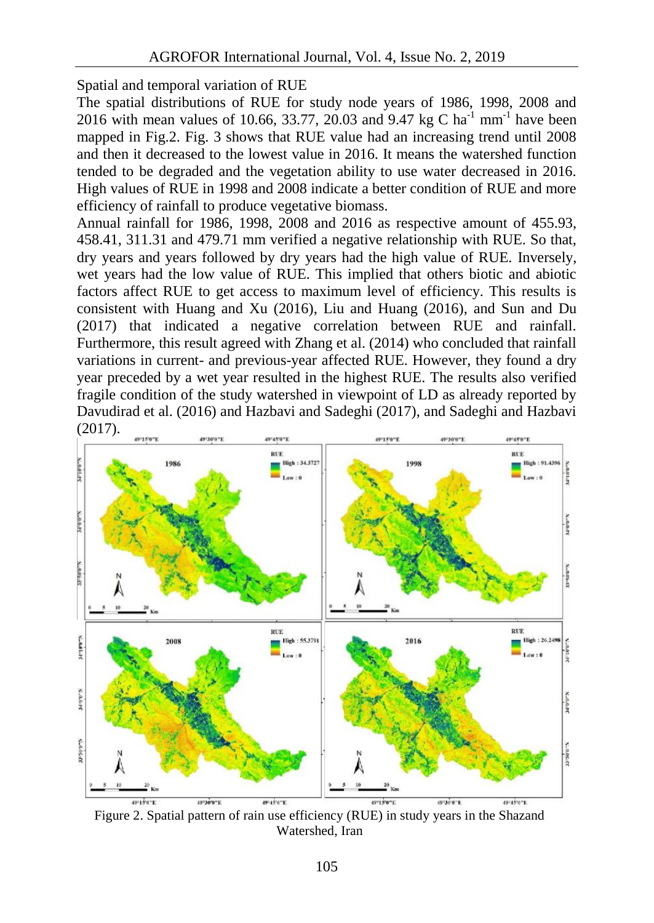Spatial and temporal variation of RUE

The spatial distributions of RUE for study node years of 1986, 1998, 2008 and 2016 with mean values of 10.66, 33.77, 20.03 and 9.47 kg C ha<sup>-1</sup> mm<sup>-1</sup> have been mapped in Fig.2. Fig. 3 shows that RUE value had an increasing trend until 2008 and then it decreased to the lowest value in 2016. It means the watershed function tended to be degraded and the vegetation ability to use water decreased in 2016. High values of RUE in 1998 and 2008 indicate a better condition of RUE and more efficiency of rainfall to produce vegetative biomass.

Annual rainfall for 1986, 1998, 2008 and 2016 as respective amount of 455.93, 458.41, 311.31 and 479.71 mm verified a negative relationship with RUE. So that, dry years and years followed by dry years had the high value of RUE. Inversely, wet years had the low value of RUE. This implied that others biotic and abiotic factors affect RUE to get access to maximum level of efficiency. This results is consistent with Huang and Xu (2016), Liu and Huang (2016), and Sun and Du (2017) that indicated a negative correlation between RUE and rainfall. Furthermore, this result agreed with Zhang et al. (2014) who concluded that rainfall variations in current- and previous-year affected RUE. However, they found a dry year preceded by a wet year resulted in the highest RUE. The results also verified fragile condition of the study watershed in viewpoint of LD as already reported by Davudirad et al. (2016) and Hazbavi and Sadeghi (2017), and Sadeghi and Hazbavi (2017).



Figure 2. Spatial pattern of rain use efficiency (RUE) in study years in the Shazand Watershed, Iran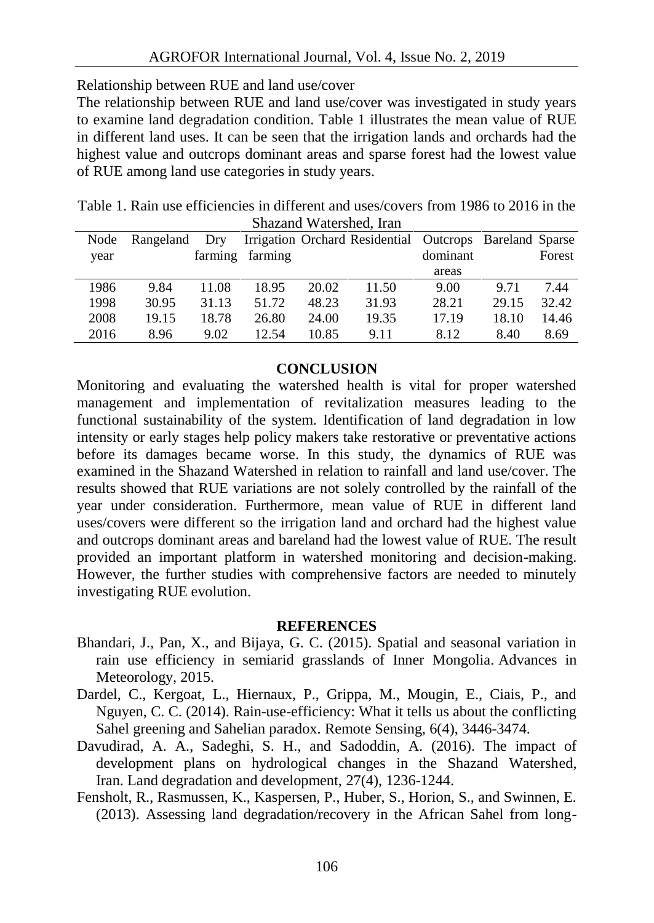Relationship between RUE and land use/cover

The relationship between RUE and land use/cover was investigated in study years to examine land degradation condition. Table 1 illustrates the mean value of RUE in different land uses. It can be seen that the irrigation lands and orchards had the highest value and outcrops dominant areas and sparse forest had the lowest value of RUE among land use categories in study years.

| Table 1. Rain use efficiencies in different and uses/covers from 1986 to 2016 in the |  |
|--------------------------------------------------------------------------------------|--|
| Shazand Watershed, Iran                                                              |  |

| Node | Rangeland | Dry     |         |       | Irrigation Orchard Residential Outcrops Bareland Sparse |          |       |        |
|------|-----------|---------|---------|-------|---------------------------------------------------------|----------|-------|--------|
| year |           | farming | farming |       |                                                         | dominant |       | Forest |
|      |           |         |         |       |                                                         | areas    |       |        |
| 1986 | 9.84      | 11.08   | 18.95   | 20.02 | 11.50                                                   | 9.00     | 9.71  | 7.44   |
| 1998 | 30.95     | 31.13   | 51.72   | 48.23 | 31.93                                                   | 28.21    | 29.15 | 32.42  |
| 2008 | 19.15     | 18.78   | 26.80   | 24.00 | 19.35                                                   | 17.19    | 18.10 | 14.46  |
| 2016 | 8.96      | 9.02    | 12.54   | 10.85 | 9.11                                                    | 8.12     | 8.40  | 8.69   |

### **CONCLUSION**

Monitoring and evaluating the watershed health is vital for proper watershed management and implementation of revitalization measures leading to the functional sustainability of the system. Identification of land degradation in low intensity or early stages help policy makers take restorative or preventative actions before its damages became worse. In this study, the dynamics of RUE was examined in the Shazand Watershed in relation to rainfall and land use/cover. The results showed that RUE variations are not solely controlled by the rainfall of the year under consideration. Furthermore, mean value of RUE in different land uses/covers were different so the irrigation land and orchard had the highest value and outcrops dominant areas and bareland had the lowest value of RUE. The result provided an important platform in watershed monitoring and decision-making. However, the further studies with comprehensive factors are needed to minutely investigating RUE evolution.

#### **REFERENCES**

- Bhandari, J., Pan, X., and Bijaya, G. C. (2015). Spatial and seasonal variation in rain use efficiency in semiarid grasslands of Inner Mongolia. Advances in Meteorology, 2015.
- Dardel, C., Kergoat, L., Hiernaux, P., Grippa, M., Mougin, E., Ciais, P., and Nguyen, C. C. (2014). Rain-use-efficiency: What it tells us about the conflicting Sahel greening and Sahelian paradox. Remote Sensing, 6(4), 3446-3474.
- Davudirad, A. A., Sadeghi, S. H., and Sadoddin, A. (2016). The impact of development plans on hydrological changes in the Shazand Watershed, Iran. Land degradation and development, 27(4), 1236-1244.
- Fensholt, R., Rasmussen, K., Kaspersen, P., Huber, S., Horion, S., and Swinnen, E. (2013). Assessing land degradation/recovery in the African Sahel from long-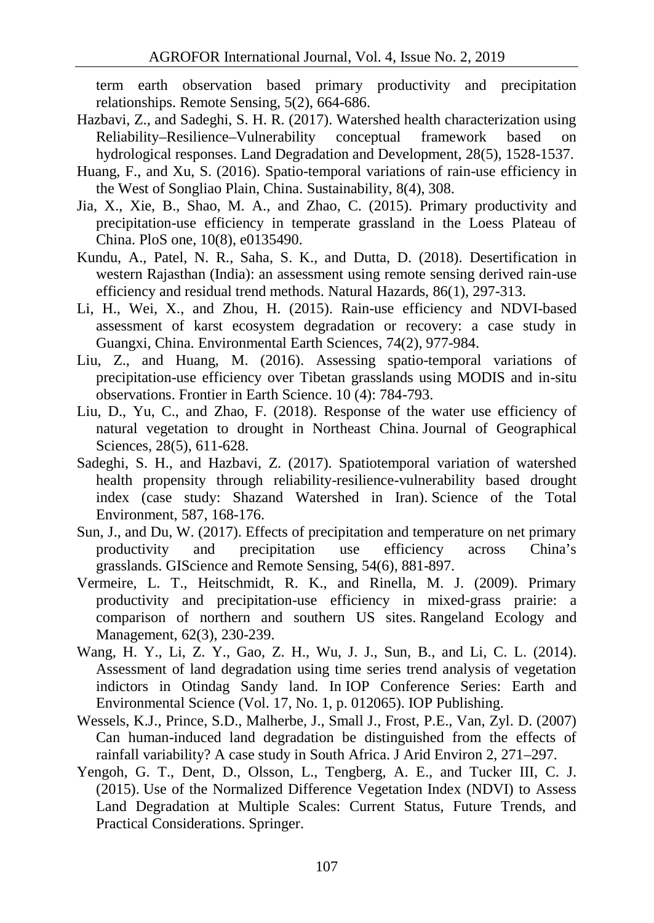term earth observation based primary productivity and precipitation relationships. Remote Sensing, 5(2), 664-686.

- Hazbavi, Z., and Sadeghi, S. H. R. (2017). Watershed health characterization using Reliability–Resilience–Vulnerability conceptual framework based on hydrological responses. Land Degradation and Development, 28(5), 1528-1537.
- Huang, F., and Xu, S. (2016). Spatio-temporal variations of rain-use efficiency in the West of Songliao Plain, China. Sustainability, 8(4), 308.
- Jia, X., Xie, B., Shao, M. A., and Zhao, C. (2015). Primary productivity and precipitation-use efficiency in temperate grassland in the Loess Plateau of China. PloS one, 10(8), e0135490.
- Kundu, A., Patel, N. R., Saha, S. K., and Dutta, D. (2018). Desertification in western Rajasthan (India): an assessment using remote sensing derived rain-use efficiency and residual trend methods. Natural Hazards, 86(1), 297-313.
- Li, H., Wei, X., and Zhou, H. (2015). Rain-use efficiency and NDVI-based assessment of karst ecosystem degradation or recovery: a case study in Guangxi, China. Environmental Earth Sciences, 74(2), 977-984.
- Liu, Z., and Huang, M. (2016). Assessing spatio-temporal variations of precipitation-use efficiency over Tibetan grasslands using MODIS and in-situ observations. Frontier in Earth Science. 10 (4): 784-793.
- Liu, D., Yu, C., and Zhao, F. (2018). Response of the water use efficiency of natural vegetation to drought in Northeast China. Journal of Geographical Sciences, 28(5), 611-628.
- Sadeghi, S. H., and Hazbavi, Z. (2017). Spatiotemporal variation of watershed health propensity through reliability-resilience-vulnerability based drought index (case study: Shazand Watershed in Iran). Science of the Total Environment, 587, 168-176.
- Sun, J., and Du, W. (2017). Effects of precipitation and temperature on net primary productivity and precipitation use efficiency across China's grasslands. GIScience and Remote Sensing, 54(6), 881-897.
- Vermeire, L. T., Heitschmidt, R. K., and Rinella, M. J. (2009). Primary productivity and precipitation-use efficiency in mixed-grass prairie: a comparison of northern and southern US sites. Rangeland Ecology and Management, 62(3), 230-239.
- Wang, H. Y., Li, Z. Y., Gao, Z. H., Wu, J. J., Sun, B., and Li, C. L. (2014). Assessment of land degradation using time series trend analysis of vegetation indictors in Otindag Sandy land. In IOP Conference Series: Earth and Environmental Science (Vol. 17, No. 1, p. 012065). IOP Publishing.
- Wessels, K.J., Prince, S.D., Malherbe, J., Small J., Frost, P.E., Van, Zyl. D. (2007) Can human-induced land degradation be distinguished from the effects of rainfall variability? A case study in South Africa. J Arid Environ 2, 271–297.
- Yengoh, G. T., Dent, D., Olsson, L., Tengberg, A. E., and Tucker III, C. J. (2015). Use of the Normalized Difference Vegetation Index (NDVI) to Assess Land Degradation at Multiple Scales: Current Status, Future Trends, and Practical Considerations. Springer.